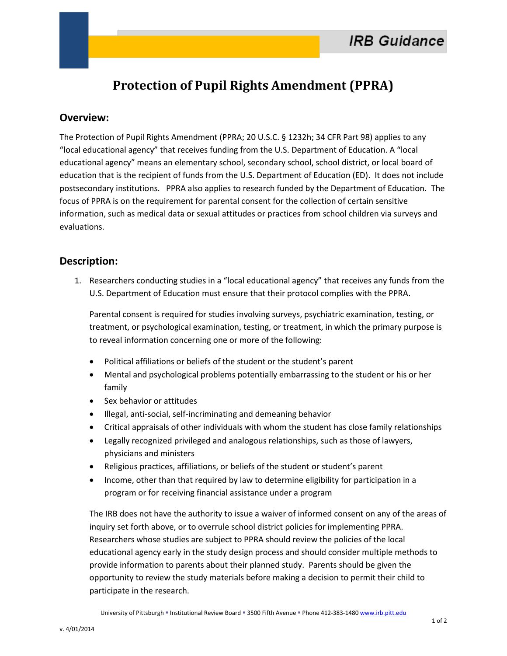## **Protection of Pupil Rights Amendment (PPRA)**

## **Overview:**

The Protection of Pupil Rights Amendment (PPRA; 20 U.S.C. § 1232h; 34 CFR Part 98) applies to any "local educational agency" that receives funding from the U.S. Department of Education. A "local educational agency" means an elementary school, secondary school, school district, or local board of education that is the recipient of funds from the U.S. Department of Education (ED). It does not include postsecondary institutions. PPRA also applies to research funded by the Department of Education. The focus of PPRA is on the requirement for parental consent for the collection of certain sensitive information, such as medical data or sexual attitudes or practices from school children via surveys and evaluations.

## **Description:**

1. Researchers conducting studies in a "local educational agency" that receives any funds from the U.S. Department of Education must ensure that their protocol complies with the PPRA.

Parental consent is required for studies involving surveys, psychiatric examination, testing, or treatment, or psychological examination, testing, or treatment, in which the primary purpose is to reveal information concerning one or more of the following:

- Political affiliations or beliefs of the student or the student's parent
- Mental and psychological problems potentially embarrassing to the student or his or her family
- Sex behavior or attitudes
- Illegal, anti-social, self-incriminating and demeaning behavior
- Critical appraisals of other individuals with whom the student has close family relationships
- Legally recognized privileged and analogous relationships, such as those of lawyers, physicians and ministers
- Religious practices, affiliations, or beliefs of the student or student's parent
- Income, other than that required by law to determine eligibility for participation in a program or for receiving financial assistance under a program

The IRB does not have the authority to issue a waiver of informed consent on any of the areas of inquiry set forth above, or to overrule school district policies for implementing PPRA. Researchers whose studies are subject to PPRA should review the policies of the local educational agency early in the study design process and should consider multiple methods to provide information to parents about their planned study. Parents should be given the opportunity to review the study materials before making a decision to permit their child to participate in the research.